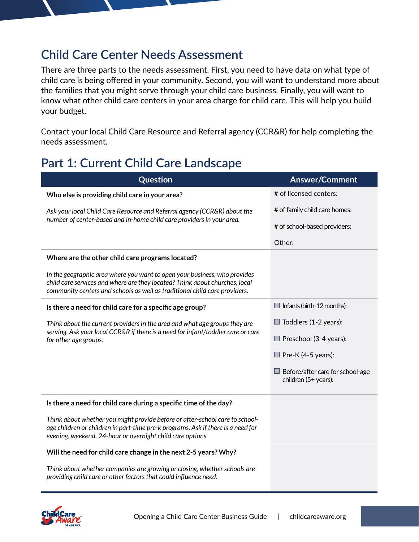## **Child Care Center Needs Assessment**

There are three parts to the needs assessment. First, you need to have data on what type of child care is being offered in your community. Second, you will want to understand more about the families that you might serve through your child care business. Finally, you will want to know what other child care centers in your area charge for child care. This will help you build your budget.

Contact your local Child Care Resource and Referral agency (CCR&R) for help completing the needs assessment.

## **Part 1: Current Child Care Landscape**

| Question                                                                                                                                                                                                                               | <b>Answer/Comment</b>                                           |
|----------------------------------------------------------------------------------------------------------------------------------------------------------------------------------------------------------------------------------------|-----------------------------------------------------------------|
| Who else is providing child care in your area?                                                                                                                                                                                         | # of licensed centers:                                          |
| Ask your local Child Care Resource and Referral agency (CCR&R) about the<br>number of center-based and in-home child care providers in your area.                                                                                      | # of family child care homes:                                   |
|                                                                                                                                                                                                                                        | # of school-based providers:                                    |
|                                                                                                                                                                                                                                        | Other:                                                          |
| Where are the other child care programs located?                                                                                                                                                                                       |                                                                 |
| In the geographic area where you want to open your business, who provides<br>child care services and where are they located? Think about churches, local<br>community centers and schools as well as traditional child care providers. |                                                                 |
| Is there a need for child care for a specific age group?                                                                                                                                                                               | $\Box$ Infants (birth-12 months):                               |
| Think about the current providers in the area and what age groups they are<br>serving. Ask your local CCR&R if there is a need for infant/toddler care or care<br>for other age groups.                                                | Toddlers (1-2 years):                                           |
|                                                                                                                                                                                                                                        | $\Box$ Preschool (3-4 years):                                   |
|                                                                                                                                                                                                                                        | $\Box$ Pre-K (4-5 years):                                       |
|                                                                                                                                                                                                                                        | $\Box$ Before/after care for school-age<br>children (5+ years): |
| Is there a need for child care during a specific time of the day?                                                                                                                                                                      |                                                                 |
| Think about whether you might provide before or after-school care to school-<br>age children or children in part-time pre-k programs. Ask if there is a need for<br>evening, weekend, 24-hour or overnight child care options.         |                                                                 |
| Will the need for child care change in the next 2-5 years? Why?                                                                                                                                                                        |                                                                 |
| Think about whether companies are growing or closing, whether schools are<br>providing child care or other factors that could influence need.                                                                                          |                                                                 |

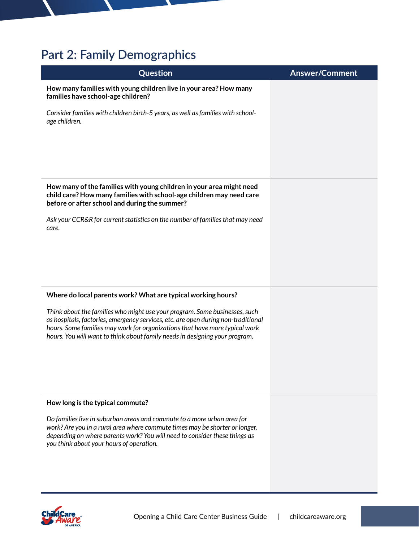## **Part 2: Family Demographics**

| Question                                                                                                                                                                                                                                                                                                                      | <b>Answer/Comment</b> |
|-------------------------------------------------------------------------------------------------------------------------------------------------------------------------------------------------------------------------------------------------------------------------------------------------------------------------------|-----------------------|
| How many families with young children live in your area? How many<br>families have school-age children?                                                                                                                                                                                                                       |                       |
| Consider families with children birth-5 years, as well as families with school-<br>age children.                                                                                                                                                                                                                              |                       |
| How many of the families with young children in your area might need<br>child care? How many families with school-age children may need care<br>before or after school and during the summer?                                                                                                                                 |                       |
| Ask your CCR&R for current statistics on the number of families that may need<br>care.                                                                                                                                                                                                                                        |                       |
| Where do local parents work? What are typical working hours?                                                                                                                                                                                                                                                                  |                       |
| Think about the families who might use your program. Some businesses, such<br>as hospitals, factories, emergency services, etc. are open during non-traditional<br>hours. Some families may work for organizations that have more typical work<br>hours. You will want to think about family needs in designing your program. |                       |
| How long is the typical commute?                                                                                                                                                                                                                                                                                              |                       |
| Do families live in suburban areas and commute to a more urban area for<br>work? Are you in a rural area where commute times may be shorter or longer,<br>depending on where parents work? You will need to consider these things as<br>you think about your hours of operation.                                              |                       |